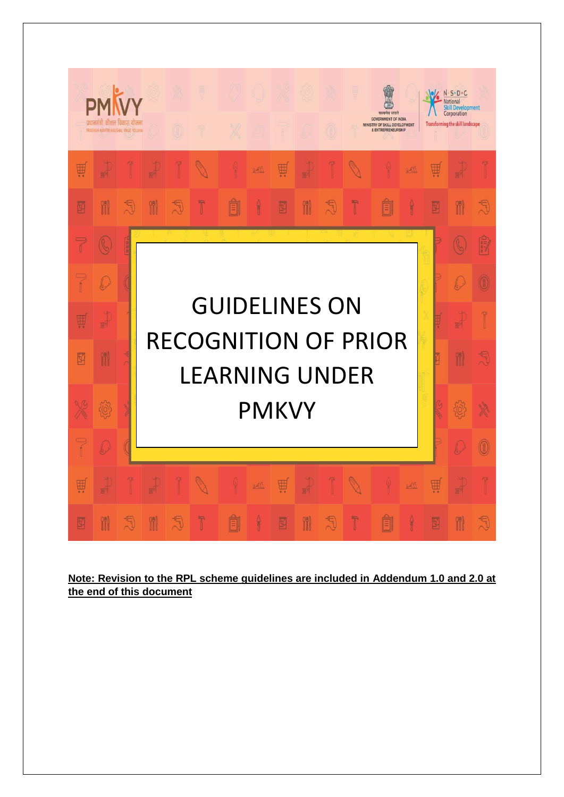

**Note: Revision to the RPL scheme guidelines are included in Addendum 1.0 and 2.0 at the end of this document**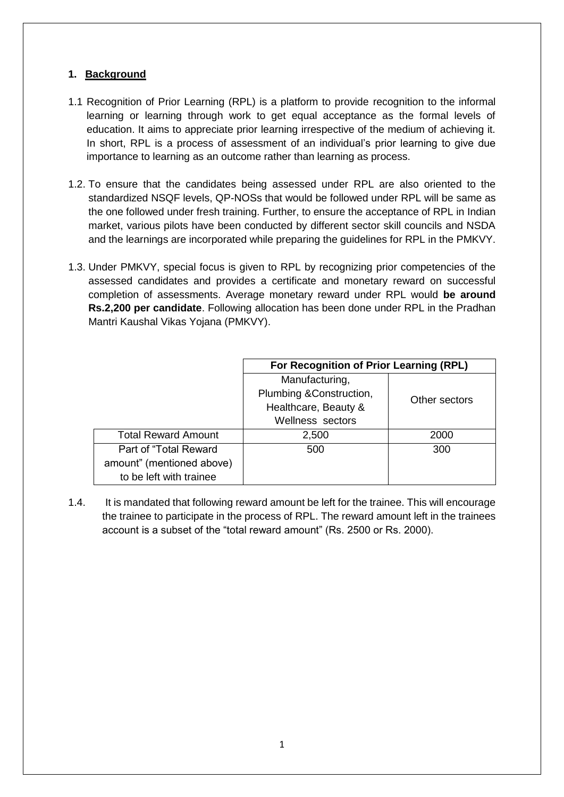## **1. Background**

- 1.1 Recognition of Prior Learning (RPL) is a platform to provide recognition to the informal learning or learning through work to get equal acceptance as the formal levels of education. It aims to appreciate prior learning irrespective of the medium of achieving it. In short, RPL is a process of assessment of an individual's prior learning to give due importance to learning as an outcome rather than learning as process.
- 1.2. To ensure that the candidates being assessed under RPL are also oriented to the standardized NSQF levels, QP-NOSs that would be followed under RPL will be same as the one followed under fresh training. Further, to ensure the acceptance of RPL in Indian market, various pilots have been conducted by different sector skill councils and NSDA and the learnings are incorporated while preparing the guidelines for RPL in the PMKVY.
- 1.3. Under PMKVY, special focus is given to RPL by recognizing prior competencies of the assessed candidates and provides a certificate and monetary reward on successful completion of assessments. Average monetary reward under RPL would **be around Rs.2,200 per candidate**. Following allocation has been done under RPL in the Pradhan Mantri Kaushal Vikas Yojana (PMKVY).

|                            | For Recognition of Prior Learning (RPL) |               |  |
|----------------------------|-----------------------------------------|---------------|--|
|                            | Manufacturing,                          |               |  |
|                            | Plumbing &Construction,                 | Other sectors |  |
|                            | Healthcare, Beauty &                    |               |  |
|                            | Wellness sectors                        |               |  |
| <b>Total Reward Amount</b> | 2,500                                   | 2000          |  |
| Part of "Total Reward"     | 500                                     | 300           |  |
| amount" (mentioned above)  |                                         |               |  |
| to be left with trainee    |                                         |               |  |

1.4. It is mandated that following reward amount be left for the trainee. This will encourage the trainee to participate in the process of RPL. The reward amount left in the trainees account is a subset of the "total reward amount" (Rs. 2500 or Rs. 2000).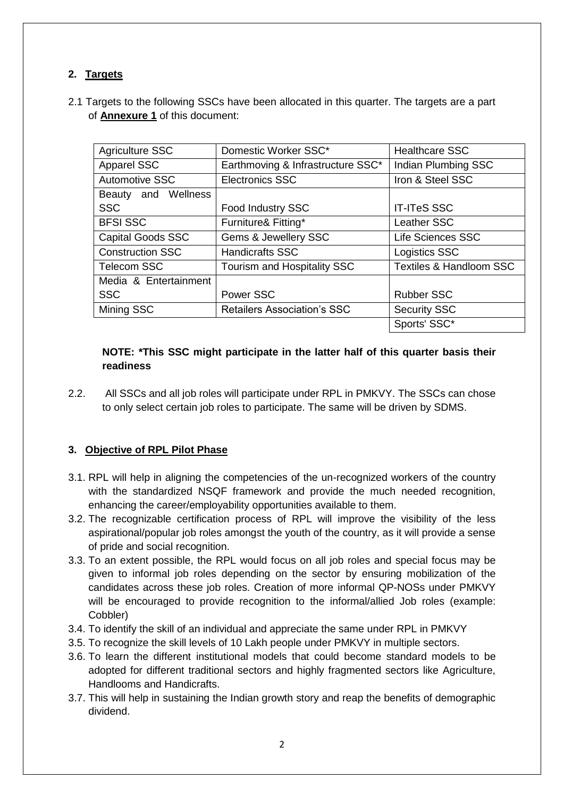# **2. Targets**

2.1 Targets to the following SSCs have been allocated in this quarter. The targets are a part of **Annexure 1** of this document:

| <b>Agriculture SSC</b>   | Domestic Worker SSC*               | <b>Healthcare SSC</b>              |
|--------------------------|------------------------------------|------------------------------------|
| <b>Apparel SSC</b>       | Earthmoving & Infrastructure SSC*  | Indian Plumbing SSC                |
| <b>Automotive SSC</b>    | <b>Electronics SSC</b>             | Iron & Steel SSC                   |
| Beauty and Wellness      |                                    |                                    |
| <b>SSC</b>               | Food Industry SSC                  | <b>IT-ITeS SSC</b>                 |
| <b>BFSI SSC</b>          | Furniture& Fitting*                | Leather SSC                        |
| <b>Capital Goods SSC</b> | Gems & Jewellery SSC               | <b>Life Sciences SSC</b>           |
| <b>Construction SSC</b>  | <b>Handicrafts SSC</b>             | <b>Logistics SSC</b>               |
| <b>Telecom SSC</b>       | Tourism and Hospitality SSC        | <b>Textiles &amp; Handloom SSC</b> |
| Media & Entertainment    |                                    |                                    |
| <b>SSC</b>               | Power SSC                          | <b>Rubber SSC</b>                  |
| Mining SSC               | <b>Retailers Association's SSC</b> | <b>Security SSC</b>                |
|                          |                                    | Sports' SSC*                       |

## **NOTE: \*This SSC might participate in the latter half of this quarter basis their readiness**

2.2. All SSCs and all job roles will participate under RPL in PMKVY. The SSCs can chose to only select certain job roles to participate. The same will be driven by SDMS.

# **3. Objective of RPL Pilot Phase**

- 3.1. RPL will help in aligning the competencies of the un-recognized workers of the country with the standardized NSQF framework and provide the much needed recognition, enhancing the career/employability opportunities available to them.
- 3.2. The recognizable certification process of RPL will improve the visibility of the less aspirational/popular job roles amongst the youth of the country, as it will provide a sense of pride and social recognition.
- 3.3. To an extent possible, the RPL would focus on all job roles and special focus may be given to informal job roles depending on the sector by ensuring mobilization of the candidates across these job roles. Creation of more informal QP-NOSs under PMKVY will be encouraged to provide recognition to the informal/allied Job roles (example: Cobbler)
- 3.4. To identify the skill of an individual and appreciate the same under RPL in PMKVY
- 3.5. To recognize the skill levels of 10 Lakh people under PMKVY in multiple sectors.
- 3.6. To learn the different institutional models that could become standard models to be adopted for different traditional sectors and highly fragmented sectors like Agriculture, Handlooms and Handicrafts.
- 3.7. This will help in sustaining the Indian growth story and reap the benefits of demographic dividend.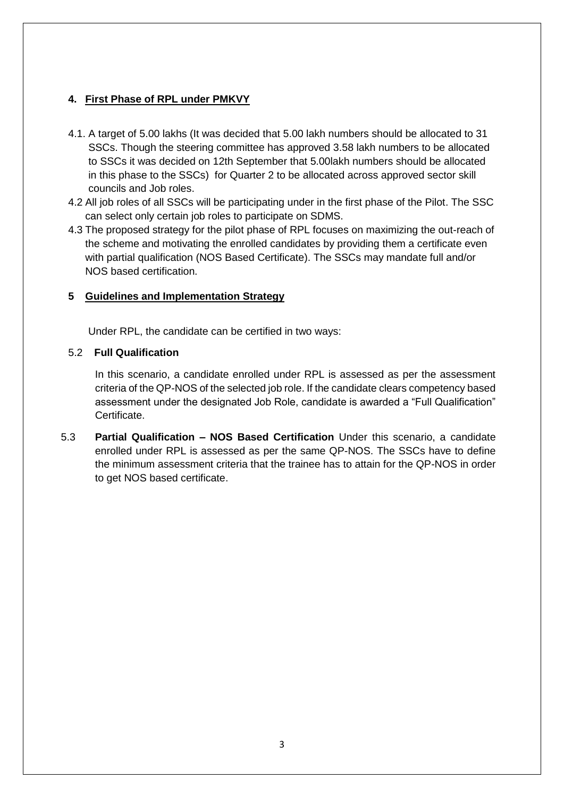## **4. First Phase of RPL under PMKVY**

- 4.1. A target of 5.00 lakhs (It was decided that 5.00 lakh numbers should be allocated to 31 SSCs. Though the steering committee has approved 3.58 lakh numbers to be allocated to SSCs it was decided on 12th September that 5.00lakh numbers should be allocated in this phase to the SSCs) for Quarter 2 to be allocated across approved sector skill councils and Job roles.
- 4.2 All job roles of all SSCs will be participating under in the first phase of the Pilot. The SSC can select only certain job roles to participate on SDMS.
- 4.3 The proposed strategy for the pilot phase of RPL focuses on maximizing the out-reach of the scheme and motivating the enrolled candidates by providing them a certificate even with partial qualification (NOS Based Certificate). The SSCs may mandate full and/or NOS based certification.

## **5 Guidelines and Implementation Strategy**

Under RPL, the candidate can be certified in two ways:

### 5.2 **Full Qualification**

In this scenario, a candidate enrolled under RPL is assessed as per the assessment criteria of the QP-NOS of the selected job role. If the candidate clears competency based assessment under the designated Job Role, candidate is awarded a "Full Qualification" Certificate.

5.3 **Partial Qualification – NOS Based Certification** Under this scenario, a candidate enrolled under RPL is assessed as per the same QP-NOS. The SSCs have to define the minimum assessment criteria that the trainee has to attain for the QP-NOS in order to get NOS based certificate.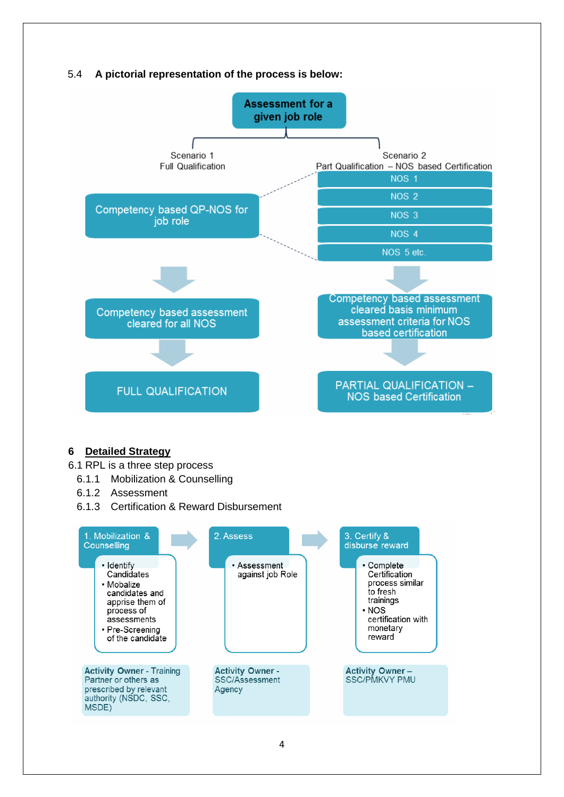## 5.4 **A pictorial representation of the process is below:**



#### **6 Detailed Strategy**

6.1 RPL is a three step process

- 6.1.1 Mobilization & Counselling
- 6.1.2 Assessment
- 6.1.3 Certification & Reward Disbursement

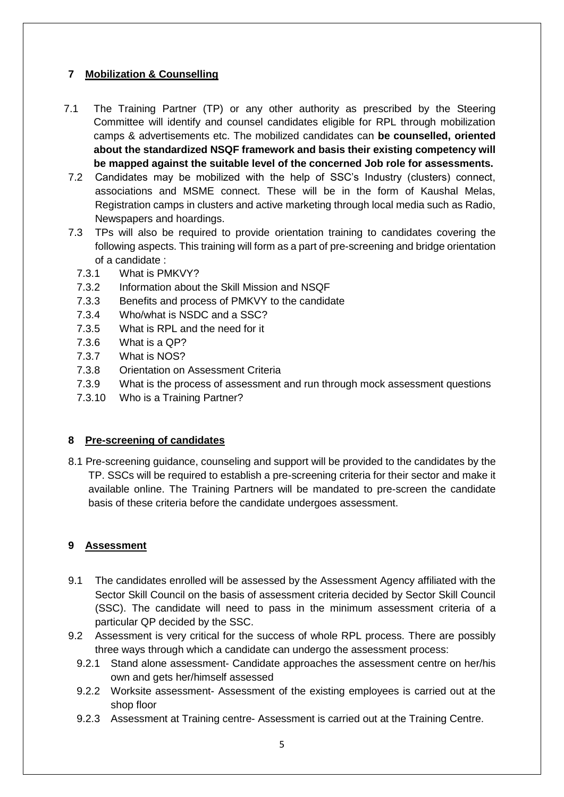## **7 Mobilization & Counselling**

- 7.1 The Training Partner (TP) or any other authority as prescribed by the Steering Committee will identify and counsel candidates eligible for RPL through mobilization camps & advertisements etc. The mobilized candidates can **be counselled, oriented about the standardized NSQF framework and basis their existing competency will be mapped against the suitable level of the concerned Job role for assessments.**
- 7.2 Candidates may be mobilized with the help of SSC's Industry (clusters) connect, associations and MSME connect. These will be in the form of Kaushal Melas, Registration camps in clusters and active marketing through local media such as Radio, Newspapers and hoardings.
- 7.3 TPs will also be required to provide orientation training to candidates covering the following aspects. This training will form as a part of pre-screening and bridge orientation of a candidate :
	- 7.3.1 What is PMKVY?
	- 7.3.2 Information about the Skill Mission and NSQF
	- 7.3.3 Benefits and process of PMKVY to the candidate
	- 7.3.4 Who/what is NSDC and a SSC?
	- 7.3.5 What is RPL and the need for it
	- 7.3.6 What is a QP?
	- 7.3.7 What is NOS?
	- 7.3.8 Orientation on Assessment Criteria
	- 7.3.9 What is the process of assessment and run through mock assessment questions
	- 7.3.10 Who is a Training Partner?

#### **8 Pre-screening of candidates**

8.1 Pre-screening guidance, counseling and support will be provided to the candidates by the TP. SSCs will be required to establish a pre-screening criteria for their sector and make it available online. The Training Partners will be mandated to pre-screen the candidate basis of these criteria before the candidate undergoes assessment.

## **9 Assessment**

- 9.1 The candidates enrolled will be assessed by the Assessment Agency affiliated with the Sector Skill Council on the basis of assessment criteria decided by Sector Skill Council (SSC). The candidate will need to pass in the minimum assessment criteria of a particular QP decided by the SSC.
- 9.2 Assessment is very critical for the success of whole RPL process. There are possibly three ways through which a candidate can undergo the assessment process:
	- 9.2.1 Stand alone assessment- Candidate approaches the assessment centre on her/his own and gets her/himself assessed
	- 9.2.2 Worksite assessment- Assessment of the existing employees is carried out at the shop floor
	- 9.2.3 Assessment at Training centre- Assessment is carried out at the Training Centre.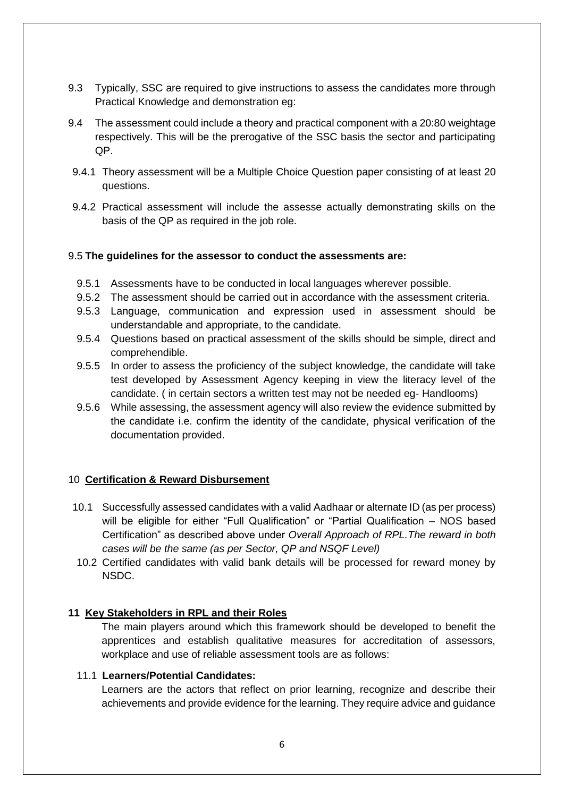- 9.3 Typically, SSC are required to give instructions to assess the candidates more through Practical Knowledge and demonstration eg:
- 9.4 The assessment could include a theory and practical component with a 20:80 weightage respectively. This will be the prerogative of the SSC basis the sector and participating QP.
- 9.4.1 Theory assessment will be a Multiple Choice Question paper consisting of at least 20 questions.
- 9.4.2 Practical assessment will include the assesse actually demonstrating skills on the basis of the QP as required in the job role.

#### 9.5 **The guidelines for the assessor to conduct the assessments are:**

- 9.5.1 Assessments have to be conducted in local languages wherever possible.
- 9.5.2 The assessment should be carried out in accordance with the assessment criteria.
- 9.5.3 Language, communication and expression used in assessment should be understandable and appropriate, to the candidate.
- 9.5.4 Questions based on practical assessment of the skills should be simple, direct and comprehendible.
- 9.5.5 In order to assess the proficiency of the subject knowledge, the candidate will take test developed by Assessment Agency keeping in view the literacy level of the candidate. ( in certain sectors a written test may not be needed eg- Handlooms)
- 9.5.6 While assessing, the assessment agency will also review the evidence submitted by the candidate i.e. confirm the identity of the candidate, physical verification of the documentation provided.

#### 10 **Certification & Reward Disbursement**

- 10.1 Successfully assessed candidates with a valid Aadhaar or alternate ID (as per process) will be eligible for either "Full Qualification" or "Partial Qualification – NOS based Certification" as described above under *Overall Approach of RPL.The reward in both cases will be the same (as per Sector, QP and NSQF Level)*
- 10.2 Certified candidates with valid bank details will be processed for reward money by NSDC.

#### **11 Key Stakeholders in RPL and their Roles**

The main players around which this framework should be developed to benefit the apprentices and establish qualitative measures for accreditation of assessors, workplace and use of reliable assessment tools are as follows:

#### 11.1 **Learners/Potential Candidates:**

Learners are the actors that reflect on prior learning, recognize and describe their achievements and provide evidence for the learning. They require advice and guidance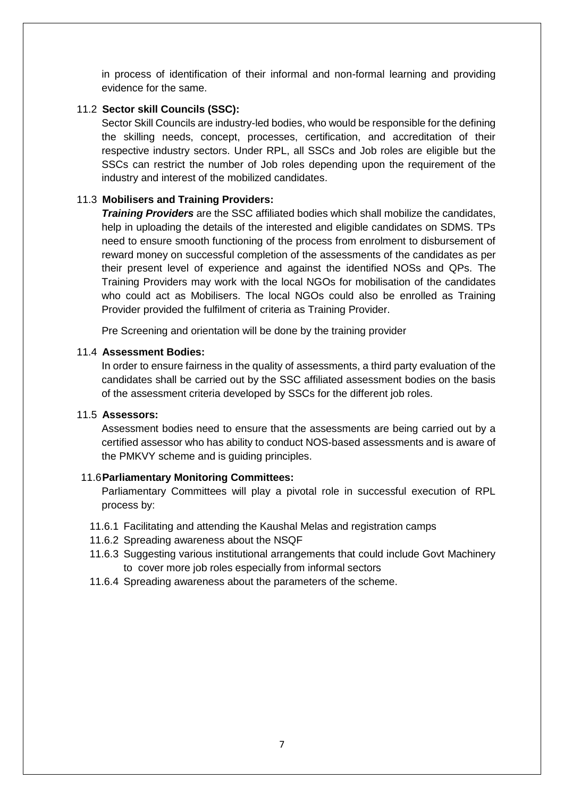in process of identification of their informal and non-formal learning and providing evidence for the same.

#### 11.2 **Sector skill Councils (SSC):**

Sector Skill Councils are industry-led bodies, who would be responsible for the defining the skilling needs, concept, processes, certification, and accreditation of their respective industry sectors. Under RPL, all SSCs and Job roles are eligible but the SSCs can restrict the number of Job roles depending upon the requirement of the industry and interest of the mobilized candidates.

#### 11.3 **Mobilisers and Training Providers:**

*Training Providers* are the SSC affiliated bodies which shall mobilize the candidates, help in uploading the details of the interested and eligible candidates on SDMS. TPs need to ensure smooth functioning of the process from enrolment to disbursement of reward money on successful completion of the assessments of the candidates as per their present level of experience and against the identified NOSs and QPs. The Training Providers may work with the local NGOs for mobilisation of the candidates who could act as Mobilisers. The local NGOs could also be enrolled as Training Provider provided the fulfilment of criteria as Training Provider.

Pre Screening and orientation will be done by the training provider

#### 11.4 **Assessment Bodies:**

In order to ensure fairness in the quality of assessments, a third party evaluation of the candidates shall be carried out by the SSC affiliated assessment bodies on the basis of the assessment criteria developed by SSCs for the different job roles.

#### 11.5 **Assessors:**

Assessment bodies need to ensure that the assessments are being carried out by a certified assessor who has ability to conduct NOS-based assessments and is aware of the PMKVY scheme and is guiding principles.

#### 11.6**Parliamentary Monitoring Committees:**

Parliamentary Committees will play a pivotal role in successful execution of RPL process by:

- 11.6.1 Facilitating and attending the Kaushal Melas and registration camps
- 11.6.2 Spreading awareness about the NSQF
- 11.6.3 Suggesting various institutional arrangements that could include Govt Machinery to cover more job roles especially from informal sectors
- 11.6.4 Spreading awareness about the parameters of the scheme.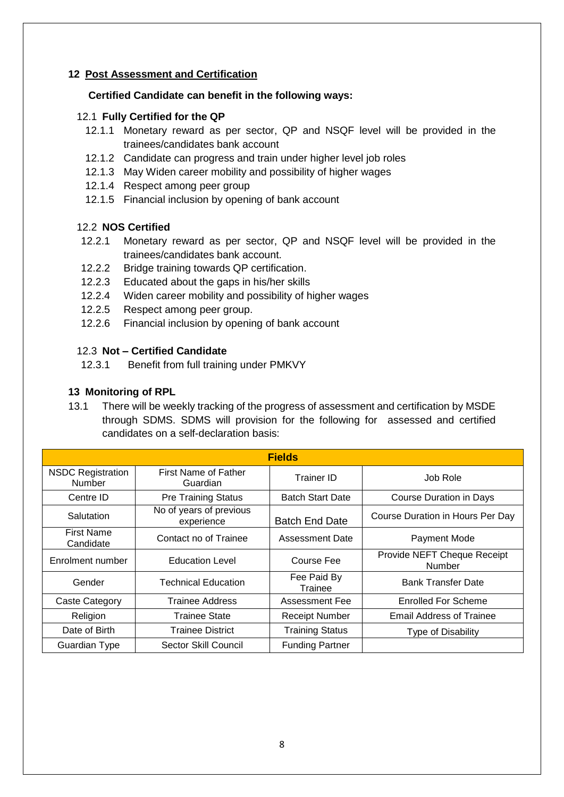## **12 Post Assessment and Certification**

#### **Certified Candidate can benefit in the following ways:**

#### 12.1 **Fully Certified for the QP**

- 12.1.1 Monetary reward as per sector, QP and NSQF level will be provided in the trainees/candidates bank account
- 12.1.2 Candidate can progress and train under higher level job roles
- 12.1.3 May Widen career mobility and possibility of higher wages
- 12.1.4 Respect among peer group
- 12.1.5 Financial inclusion by opening of bank account

#### 12.2 **NOS Certified**

- 12.2.1 Monetary reward as per sector, QP and NSQF level will be provided in the trainees/candidates bank account.
- 12.2.2 Bridge training towards QP certification.
- 12.2.3 Educated about the gaps in his/her skills
- 12.2.4 Widen career mobility and possibility of higher wages
- 12.2.5 Respect among peer group.
- 12.2.6 Financial inclusion by opening of bank account

## 12.3 **Not – Certified Candidate**

12.3.1 Benefit from full training under PMKVY

## **13 Monitoring of RPL**

13.1 There will be weekly tracking of the progress of assessment and certification by MSDE through SDMS. SDMS will provision for the following for assessed and certified candidates on a self-declaration basis:

| <b>Fields</b>                      |                                       |                         |                                              |  |
|------------------------------------|---------------------------------------|-------------------------|----------------------------------------------|--|
| <b>NSDC Registration</b><br>Number | First Name of Father<br>Guardian      | <b>Trainer ID</b>       | Job Role                                     |  |
| Centre ID                          | <b>Pre Training Status</b>            | <b>Batch Start Date</b> | <b>Course Duration in Days</b>               |  |
| Salutation                         | No of years of previous<br>experience | <b>Batch End Date</b>   | Course Duration in Hours Per Day             |  |
| <b>First Name</b><br>Candidate     | Contact no of Trainee                 | Assessment Date         | Payment Mode                                 |  |
| Enrolment number                   | <b>Education Level</b>                | Course Fee              | Provide NEFT Cheque Receipt<br><b>Number</b> |  |
| Gender                             | <b>Technical Education</b>            | Fee Paid By<br>Trainee  | <b>Bank Transfer Date</b>                    |  |
| <b>Caste Category</b>              | Trainee Address                       | <b>Assessment Fee</b>   | Enrolled For Scheme                          |  |
| Religion                           | <b>Trainee State</b>                  | <b>Receipt Number</b>   | <b>Email Address of Trainee</b>              |  |
| Date of Birth                      | <b>Trainee District</b>               | <b>Training Status</b>  | Type of Disability                           |  |
| Guardian Type                      | Sector Skill Council                  | <b>Funding Partner</b>  |                                              |  |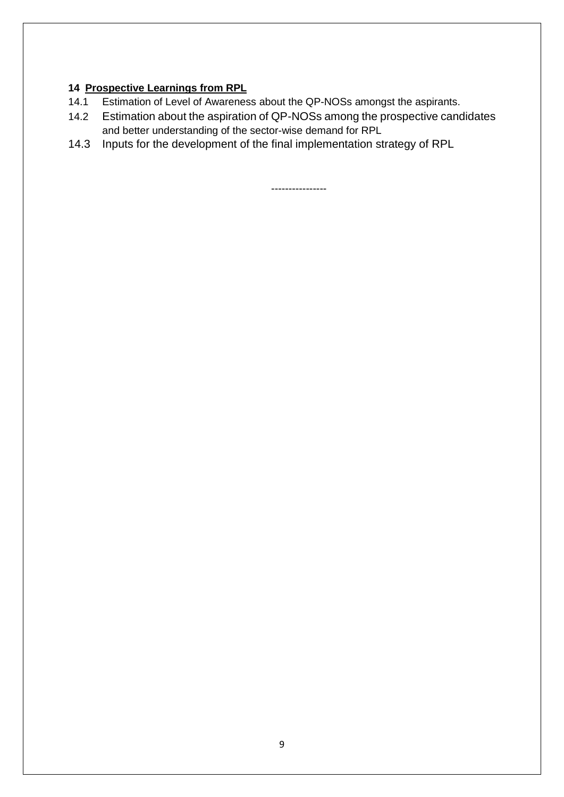# **14 Prospective Learnings from RPL**

- 14.1 Estimation of Level of Awareness about the QP-NOSs amongst the aspirants.
- 14.2 Estimation about the aspiration of QP-NOSs among the prospective candidates and better understanding of the sector-wise demand for RPL
- 14.3 Inputs for the development of the final implementation strategy of RPL

----------------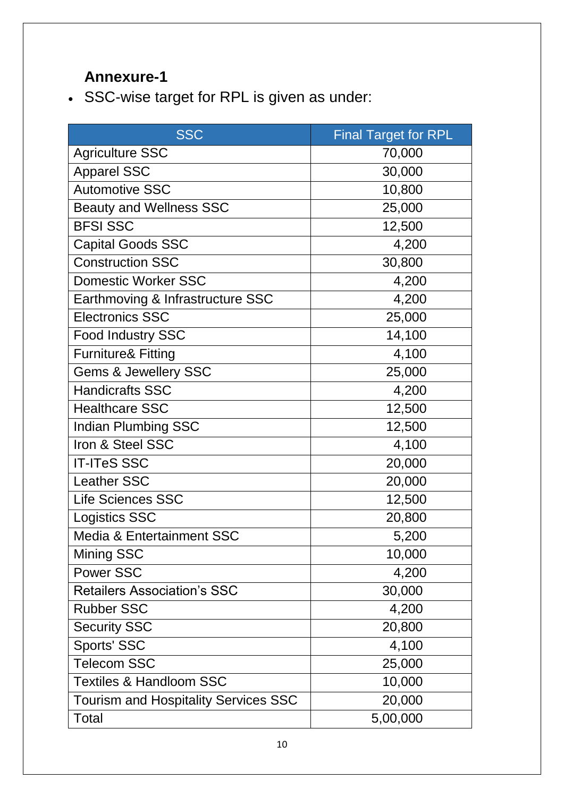# **Annexure-1**

SSC-wise target for RPL is given as under:

| <b>SSC</b>                                  | <b>Final Target for RPL</b> |
|---------------------------------------------|-----------------------------|
| <b>Agriculture SSC</b>                      | 70,000                      |
| <b>Apparel SSC</b>                          | 30,000                      |
| <b>Automotive SSC</b>                       | 10,800                      |
| <b>Beauty and Wellness SSC</b>              | 25,000                      |
| <b>BFSI SSC</b>                             | 12,500                      |
| <b>Capital Goods SSC</b>                    | 4,200                       |
| <b>Construction SSC</b>                     | 30,800                      |
| <b>Domestic Worker SSC</b>                  | 4,200                       |
| Earthmoving & Infrastructure SSC            | 4,200                       |
| <b>Electronics SSC</b>                      | 25,000                      |
| <b>Food Industry SSC</b>                    | 14,100                      |
| <b>Furniture&amp; Fitting</b>               | 4,100                       |
| <b>Gems &amp; Jewellery SSC</b>             | 25,000                      |
| <b>Handicrafts SSC</b>                      | 4,200                       |
| <b>Healthcare SSC</b>                       | 12,500                      |
| <b>Indian Plumbing SSC</b>                  | 12,500                      |
| Iron & Steel SSC                            | 4,100                       |
| <b>IT-ITeS SSC</b>                          | 20,000                      |
| <b>Leather SSC</b>                          | 20,000                      |
| <b>Life Sciences SSC</b>                    | 12,500                      |
| <b>Logistics SSC</b>                        | 20,800                      |
| <b>Media &amp; Entertainment SSC</b>        | 5,200                       |
| <b>Mining SSC</b>                           | 10,000                      |
| <b>Power SSC</b>                            | 4,200                       |
| <b>Retailers Association's SSC</b>          | 30,000                      |
| <b>Rubber SSC</b>                           | 4,200                       |
| <b>Security SSC</b>                         | 20,800                      |
| Sports' SSC                                 | 4,100                       |
| <b>Telecom SSC</b>                          | 25,000                      |
| <b>Textiles &amp; Handloom SSC</b>          | 10,000                      |
| <b>Tourism and Hospitality Services SSC</b> | 20,000                      |
| Total                                       | 5,00,000                    |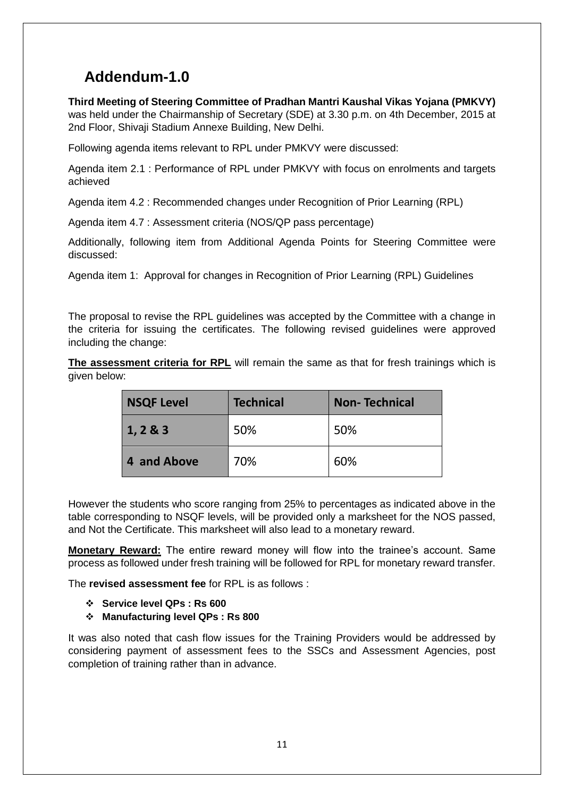# **Addendum-1.0**

**Third Meeting of Steering Committee of Pradhan Mantri Kaushal Vikas Yojana (PMKVY)** was held under the Chairmanship of Secretary (SDE) at 3.30 p.m. on 4th December, 2015 at 2nd Floor, Shivaji Stadium Annexe Building, New Delhi.

Following agenda items relevant to RPL under PMKVY were discussed:

Agenda item 2.1 : Performance of RPL under PMKVY with focus on enrolments and targets achieved

Agenda item 4.2 : Recommended changes under Recognition of Prior Learning (RPL)

Agenda item 4.7 : Assessment criteria (NOS/QP pass percentage)

Additionally, following item from Additional Agenda Points for Steering Committee were discussed:

Agenda item 1: Approval for changes in Recognition of Prior Learning (RPL) Guidelines

The proposal to revise the RPL guidelines was accepted by the Committee with a change in the criteria for issuing the certificates. The following revised guidelines were approved including the change:

**The assessment criteria for RPL** will remain the same as that for fresh trainings which is given below:

| <b>NSQF Level</b> | <b>Technical</b> | <b>Non-Technical</b> |  |
|-------------------|------------------|----------------------|--|
| 1, 283            | 50%              | 50%                  |  |
| 4 and Above       | 70%              | 60%                  |  |

However the students who score ranging from 25% to percentages as indicated above in the table corresponding to NSQF levels, will be provided only a marksheet for the NOS passed, and Not the Certificate. This marksheet will also lead to a monetary reward.

**Monetary Reward:** The entire reward money will flow into the trainee's account. Same process as followed under fresh training will be followed for RPL for monetary reward transfer.

The **revised assessment fee** for RPL is as follows :

- **Service level QPs : Rs 600**
- **Manufacturing level QPs : Rs 800**

It was also noted that cash flow issues for the Training Providers would be addressed by considering payment of assessment fees to the SSCs and Assessment Agencies, post completion of training rather than in advance.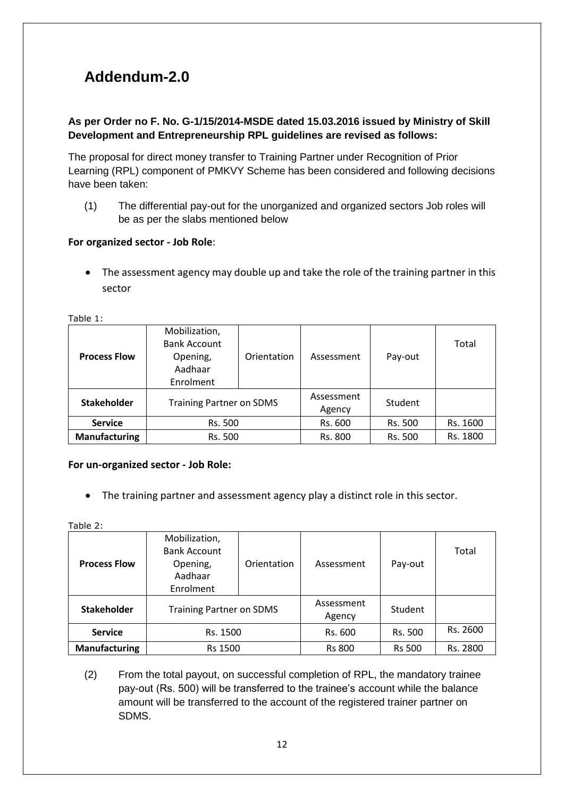# **Addendum-2.0**

## **As per Order no F. No. G-1/15/2014-MSDE dated 15.03.2016 issued by Ministry of Skill Development and Entrepreneurship RPL guidelines are revised as follows:**

The proposal for direct money transfer to Training Partner under Recognition of Prior Learning (RPL) component of PMKVY Scheme has been considered and following decisions have been taken:

(1) The differential pay-out for the unorganized and organized sectors Job roles will be as per the slabs mentioned below

### **For organized sector - Job Role**:

• The assessment agency may double up and take the role of the training partner in this sector

| TUDIL 1.             |                                                                          |             |                      |         |          |
|----------------------|--------------------------------------------------------------------------|-------------|----------------------|---------|----------|
| <b>Process Flow</b>  | Mobilization,<br><b>Bank Account</b><br>Opening,<br>Aadhaar<br>Enrolment | Orientation | Assessment           | Pay-out | Total    |
| <b>Stakeholder</b>   | <b>Training Partner on SDMS</b>                                          |             | Assessment<br>Agency | Student |          |
| <b>Service</b>       | Rs. 500                                                                  |             | Rs. 600              | Rs. 500 | Rs. 1600 |
| <b>Manufacturing</b> | Rs. 500                                                                  |             | Rs. 800              | Rs. 500 | Rs. 1800 |

Table 1:

#### **For un-organized sector - Job Role:**

The training partner and assessment agency play a distinct role in this sector.

Table 2:

| <b>Process Flow</b>  | Mobilization,<br><b>Bank Account</b><br>Opening,<br>Aadhaar<br>Enrolment | Orientation | Assessment           | Pay-out       | Total    |
|----------------------|--------------------------------------------------------------------------|-------------|----------------------|---------------|----------|
| <b>Stakeholder</b>   | <b>Training Partner on SDMS</b>                                          |             | Assessment<br>Agency | Student       |          |
| <b>Service</b>       | Rs. 1500                                                                 |             | Rs. 600              | Rs. 500       | Rs. 2600 |
| <b>Manufacturing</b> | <b>Rs 1500</b>                                                           |             | <b>Rs 800</b>        | <b>Rs 500</b> | Rs. 2800 |

(2) From the total payout, on successful completion of RPL, the mandatory trainee pay-out (Rs. 500) will be transferred to the trainee's account while the balance amount will be transferred to the account of the registered trainer partner on SDMS.